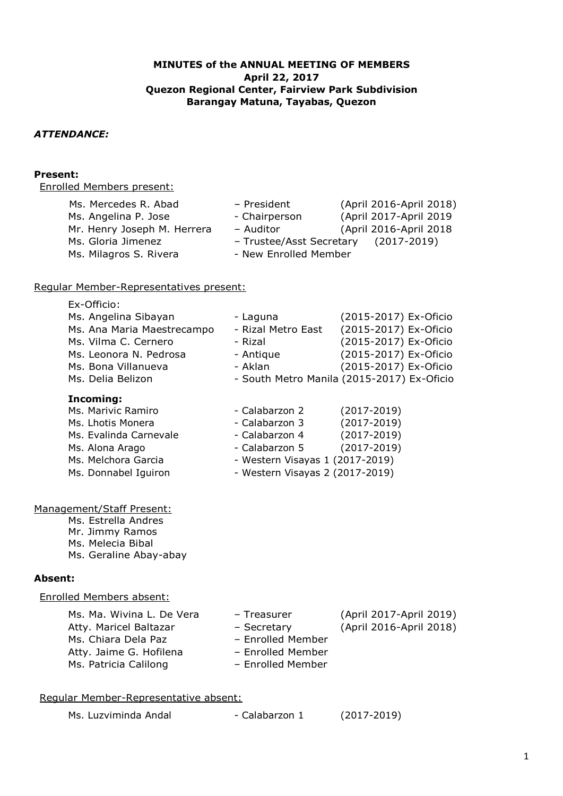## **MINUTES of the ANNUAL MEETING OF MEMBERS April 22, 2017 Quezon Regional Center, Fairview Park Subdivision Barangay Matuna, Tayabas, Quezon**

# *ATTENDANCE:*

#### **Present:**

Enrolled Members present:

| Ms. Mercedes R. Abad<br>- President             | (April 2016-April 2018) |
|-------------------------------------------------|-------------------------|
| - Chairperson<br>Ms. Angelina P. Jose           | (April 2017-April 2019  |
| Mr. Henry Joseph M. Herrera<br>- Auditor        | (April 2016-April 2018  |
| Ms. Gloria Jimenez<br>- Trustee/Asst Secretary  | $(2017 - 2019)$         |
| - New Enrolled Member<br>Ms. Milagros S. Rivera |                         |

### Regular Member-Representatives present:

| Ex-Officio:                |                                            |                         |  |
|----------------------------|--------------------------------------------|-------------------------|--|
| Ms. Angelina Sibayan       | - Laguna                                   | (2015-2017) Ex-Oficio   |  |
| Ms. Ana Maria Maestrecampo | - Rizal Metro East                         | (2015-2017) Ex-Oficio   |  |
| Ms. Vilma C. Cernero       | - Rizal                                    | (2015-2017) Ex-Oficio   |  |
| Ms. Leonora N. Pedrosa     | - Antique                                  | (2015-2017) Ex-Oficio   |  |
| Ms. Bona Villanueva        | - Aklan                                    | (2015-2017) Ex-Oficio   |  |
| Ms. Delia Belizon          | - South Metro Manila (2015-2017) Ex-Oficio |                         |  |
| Incoming:                  |                                            |                         |  |
| Ms. Marivic Ramiro         | - Calabarzon 2                             | $(2017 - 2019)$         |  |
| Ms. Lhotis Monera          | - Calabarzon 3                             | $(2017 - 2019)$         |  |
| Ms. Evalinda Carnevale     | - Calabarzon 4                             | $(2017 - 2019)$         |  |
| Ms. Alona Arago            | - Calabarzon 5                             | $(2017 - 2019)$         |  |
| Ms. Melchora Garcia        | - Western Visayas 1 (2017-2019)            |                         |  |
| Ms. Donnabel Iguiron       | - Western Visayas 2 (2017-2019)            |                         |  |
|                            |                                            |                         |  |
| Management/Staff Present:  |                                            |                         |  |
| Ms. Estrella Andres        |                                            |                         |  |
| Mr. Jimmy Ramos            |                                            |                         |  |
| Ms. Melecia Bibal          |                                            |                         |  |
| Ms. Geraline Abay-abay     |                                            |                         |  |
| <b>Absent:</b>             |                                            |                         |  |
| Enrolled Members absent:   |                                            |                         |  |
| Ms. Ma. Wivina L. De Vera  | - Treasurer                                | (April 2017-April 2019) |  |
| Atty. Maricel Baltazar     | - Secretary                                | (April 2016-April 2018) |  |
| Ms. Chiara Dela Paz        | - Enrolled Member                          |                         |  |
| Atty. Jaime G. Hofilena    | - Enrolled Member                          |                         |  |
| Ms. Patricia Calilong      | - Enrolled Member                          |                         |  |
|                            |                                            |                         |  |
|                            |                                            |                         |  |

# Regular Member-Representative absent:

| Ms. Luzviminda Andal | - Calabarzon 1 | $(2017 - 2019)$ |
|----------------------|----------------|-----------------|
|----------------------|----------------|-----------------|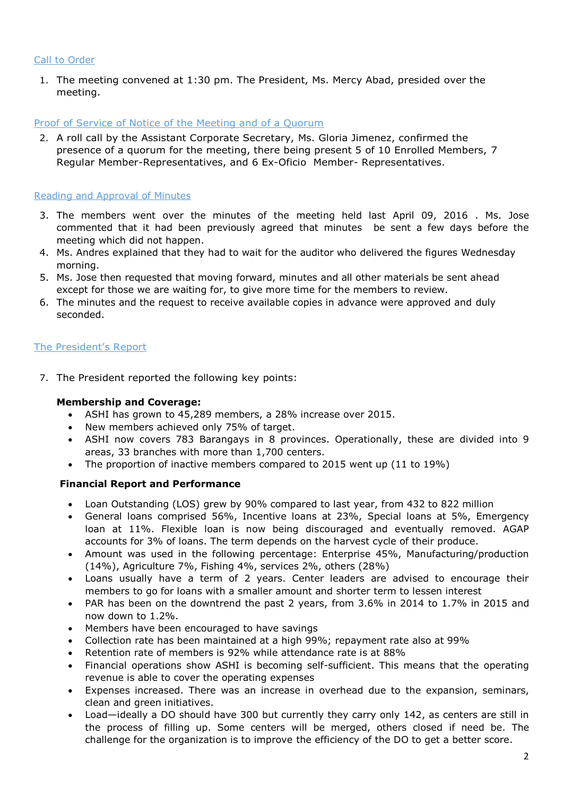#### Call to Order

1. The meeting convened at 1:30 pm. The President, Ms. Mercy Abad, presided over the meeting.

#### Proof of Service of Notice of the Meeting and of a Quorum

2. A roll call by the Assistant Corporate Secretary, Ms. Gloria Jimenez, confirmed the presence of a quorum for the meeting, there being present 5 of 10 Enrolled Members, 7 Regular Member-Representatives, and 6 Ex-Oficio Member- Representatives.

# Reading and Approval of Minutes

- 3. The members went over the minutes of the meeting held last April 09, 2016 . Ms. Jose commented that it had been previously agreed that minutes be sent a few days before the meeting which did not happen.
- 4. Ms. Andres explained that they had to wait for the auditor who delivered the figures Wednesday morning.
- 5. Ms. Jose then requested that moving forward, minutes and all other materials be sent ahead except for those we are waiting for, to give more time for the members to review.
- 6. The minutes and the request to receive available copies in advance were approved and duly seconded.

### The President's Report

7. The President reported the following key points:

#### **Membership and Coverage:**

- ASHI has grown to 45,289 members, a 28% increase over 2015.
- New members achieved only 75% of target.
- ASHI now covers 783 Barangays in 8 provinces. Operationally, these are divided into 9 areas, 33 branches with more than 1,700 centers.
- The proportion of inactive members compared to 2015 went up (11 to 19%)

# **Financial Report and Performance**

- Loan Outstanding (LOS) grew by 90% compared to last year, from 432 to 822 million
- General loans comprised 56%, Incentive loans at 23%, Special loans at 5%, Emergency loan at 11%. Flexible loan is now being discouraged and eventually removed. AGAP accounts for 3% of loans. The term depends on the harvest cycle of their produce.
- Amount was used in the following percentage: Enterprise 45%, Manufacturing/production (14%), Agriculture 7%, Fishing 4%, services 2%, others (28%)
- Loans usually have a term of 2 years. Center leaders are advised to encourage their members to go for loans with a smaller amount and shorter term to lessen interest
- PAR has been on the downtrend the past 2 years, from 3.6% in 2014 to 1.7% in 2015 and now down to 1.2%.
- Members have been encouraged to have savings
- Collection rate has been maintained at a high 99%; repayment rate also at 99%
- Retention rate of members is 92% while attendance rate is at 88%
- Financial operations show ASHI is becoming self-sufficient. This means that the operating revenue is able to cover the operating expenses
- Expenses increased. There was an increase in overhead due to the expansion, seminars, clean and green initiatives.
- Load—ideally a DO should have 300 but currently they carry only 142, as centers are still in the process of filling up. Some centers will be merged, others closed if need be. The challenge for the organization is to improve the efficiency of the DO to get a better score.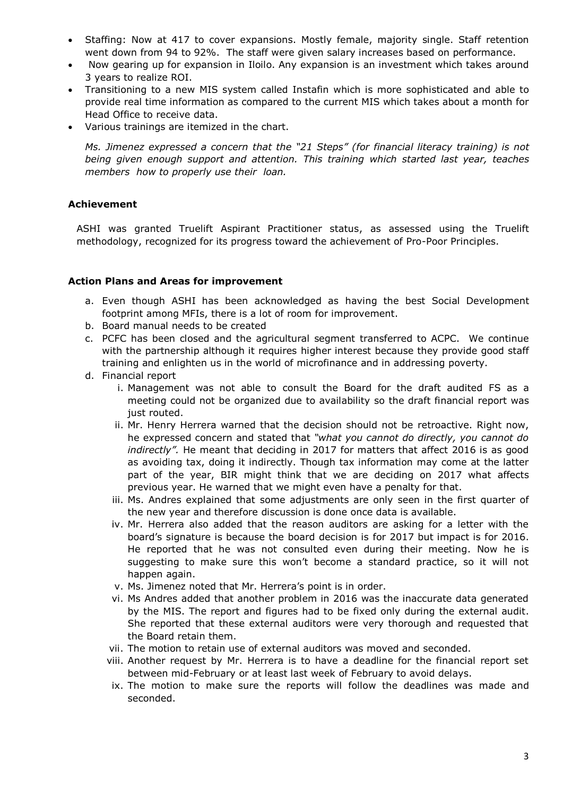- Staffing: Now at 417 to cover expansions. Mostly female, majority single. Staff retention went down from 94 to 92%. The staff were given salary increases based on performance.
- Now gearing up for expansion in Iloilo. Any expansion is an investment which takes around 3 years to realize ROI.
- Transitioning to a new MIS system called Instafin which is more sophisticated and able to provide real time information as compared to the current MIS which takes about a month for Head Office to receive data.
- Various trainings are itemized in the chart.

*Ms. Jimenez expressed a concern that the "21 Steps" (for financial literacy training) is not being given enough support and attention. This training which started last year, teaches members how to properly use their loan.* 

# **Achievement**

ASHI was granted Truelift Aspirant Practitioner status, as assessed using the Truelift methodology, recognized for its progress toward the achievement of Pro-Poor Principles.

### **Action Plans and Areas for improvement**

- a. Even though ASHI has been acknowledged as having the best Social Development footprint among MFIs, there is a lot of room for improvement.
- b. Board manual needs to be created
- c. PCFC has been closed and the agricultural segment transferred to ACPC. We continue with the partnership although it requires higher interest because they provide good staff training and enlighten us in the world of microfinance and in addressing poverty.
- d. Financial report
	- i. Management was not able to consult the Board for the draft audited FS as a meeting could not be organized due to availability so the draft financial report was just routed.
	- ii. Mr. Henry Herrera warned that the decision should not be retroactive. Right now, he expressed concern and stated that *"what you cannot do directly, you cannot do indirectly".* He meant that deciding in 2017 for matters that affect 2016 is as good as avoiding tax, doing it indirectly. Though tax information may come at the latter part of the year, BIR might think that we are deciding on 2017 what affects previous year. He warned that we might even have a penalty for that.
	- iii. Ms. Andres explained that some adjustments are only seen in the first quarter of the new year and therefore discussion is done once data is available.
	- iv. Mr. Herrera also added that the reason auditors are asking for a letter with the board's signature is because the board decision is for 2017 but impact is for 2016. He reported that he was not consulted even during their meeting. Now he is suggesting to make sure this won't become a standard practice, so it will not happen again.
	- v. Ms. Jimenez noted that Mr. Herrera's point is in order.
	- vi. Ms Andres added that another problem in 2016 was the inaccurate data generated by the MIS. The report and figures had to be fixed only during the external audit. She reported that these external auditors were very thorough and requested that the Board retain them.
	- vii. The motion to retain use of external auditors was moved and seconded.
	- viii. Another request by Mr. Herrera is to have a deadline for the financial report set between mid-February or at least last week of February to avoid delays.
	- ix. The motion to make sure the reports will follow the deadlines was made and seconded.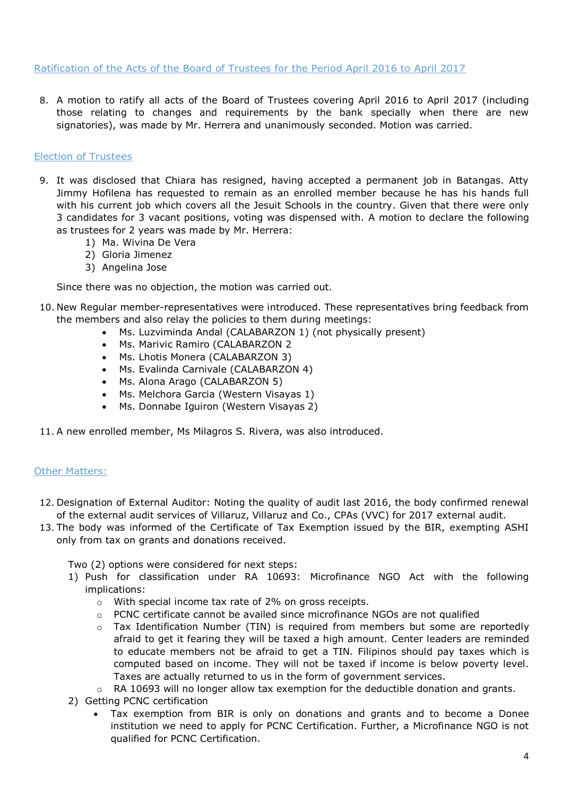### Ratification of the Acts of the Board of Trustees for the Period April 2016 to April 2017

8. A motion to ratify all acts of the Board of Trustees covering April 2016 to April 2017 (including those relating to changes and requirements by the bank specially when there are new signatories), was made by Mr. Herrera and unanimously seconded. Motion was carried.

### Election of Trustees

- 9. It was disclosed that Chiara has resigned, having accepted a permanent job in Batangas. Atty Jimmy Hofilena has requested to remain as an enrolled member because he has his hands full with his current job which covers all the Jesuit Schools in the country. Given that there were only 3 candidates for 3 vacant positions, voting was dispensed with. A motion to declare the following as trustees for 2 years was made by Mr. Herrera:
	- 1) Ma. Wivina De Vera
	- 2) Gloria Jimenez
	- 3) Angelina Jose

Since there was no objection, the motion was carried out.

- 10. New Regular member-representatives were introduced. These representatives bring feedback from the members and also relay the policies to them during meetings:
	- Ms. Luzviminda Andal (CALABARZON 1) (not physically present)
	- Ms. Marivic Ramiro (CALABARZON 2
	- Ms. Lhotis Monera (CALABARZON 3)
	- Ms. Evalinda Carnivale (CALABARZON 4)
	- Ms. Alona Arago (CALABARZON 5)
	- Ms. Melchora Garcia (Western Visayas 1)
	- Ms. Donnabe Iguiron (Western Visayas 2)
- 11. A new enrolled member, Ms Milagros S. Rivera, was also introduced.

# Other Matters:

- 12. Designation of External Auditor: Noting the quality of audit last 2016, the body confirmed renewal of the external audit services of Villaruz, Villaruz and Co., CPAs (VVC) for 2017 external audit.
- 13. The body was informed of the Certificate of Tax Exemption issued by the BIR, exempting ASHI only from tax on grants and donations received.

Two (2) options were considered for next steps:

- 1) Push for classification under RA 10693: Microfinance NGO Act with the following implications:
	- o With special income tax rate of 2% on gross receipts.
	- $\circ$  PCNC certificate cannot be availed since microfinance NGOs are not qualified
	- $\circ$  Tax Identification Number (TIN) is required from members but some are reportedly afraid to get it fearing they will be taxed a high amount. Center leaders are reminded to educate members not be afraid to get a TIN. Filipinos should pay taxes which is computed based on income. They will not be taxed if income is below poverty level. Taxes are actually returned to us in the form of government services.
	- $\circ$  RA 10693 will no longer allow tax exemption for the deductible donation and grants.
- 2) Getting PCNC certification
	- Tax exemption from BIR is only on donations and grants and to become a Donee institution we need to apply for PCNC Certification. Further, a Microfinance NGO is not qualified for PCNC Certification.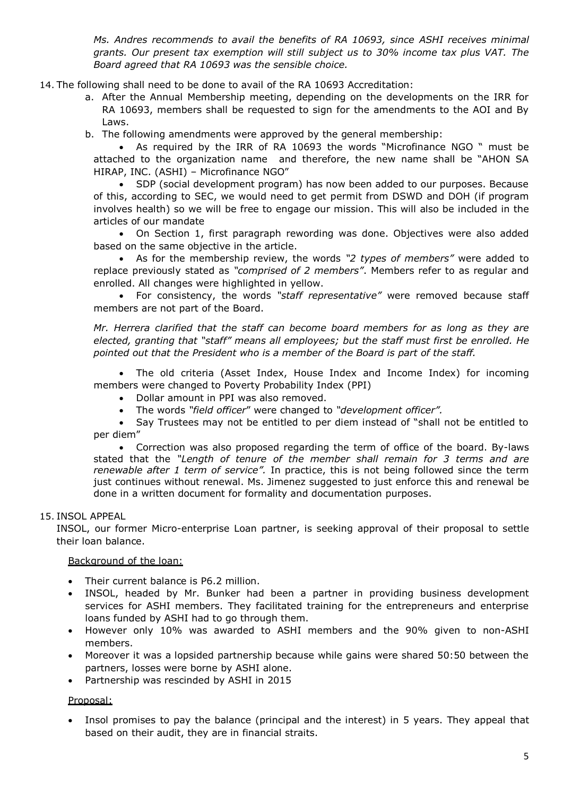*Ms. Andres recommends to avail the benefits of RA 10693, since ASHI receives minimal grants. Our present tax exemption will still subject us to 30% income tax plus VAT. The Board agreed that RA 10693 was the sensible choice.*

14. The following shall need to be done to avail of the RA 10693 Accreditation:

- a. After the Annual Membership meeting, depending on the developments on the IRR for RA 10693, members shall be requested to sign for the amendments to the AOI and By Laws.
- b. The following amendments were approved by the general membership:

 As required by the IRR of RA 10693 the words "Microfinance NGO " must be attached to the organization name and therefore, the new name shall be "AHON SA HIRAP, INC. (ASHI) – Microfinance NGO"

 SDP (social development program) has now been added to our purposes. Because of this, according to SEC, we would need to get permit from DSWD and DOH (if program involves health) so we will be free to engage our mission. This will also be included in the articles of our mandate

 On Section 1, first paragraph rewording was done. Objectives were also added based on the same objective in the article.

 As for the membership review, the words *"2 types of members"* were added to replace previously stated as *"comprised of 2 members"*. Members refer to as regular and enrolled. All changes were highlighted in yellow.

 For consistency, the words *"staff representative"* were removed because staff members are not part of the Board.

*Mr. Herrera clarified that the staff can become board members for as long as they are elected, granting that "staff" means all employees; but the staff must first be enrolled. He pointed out that the President who is a member of the Board is part of the staff.* 

 The old criteria (Asset Index, House Index and Income Index) for incoming members were changed to Poverty Probability Index (PPI)

- Dollar amount in PPI was also removed.
- The words *"field officer*" were changed to *"development officer".*

 Say Trustees may not be entitled to per diem instead of "shall not be entitled to per diem"

 Correction was also proposed regarding the term of office of the board. By-laws stated that the *"Length of tenure of the member shall remain for 3 terms and are renewable after 1 term of service".* In practice, this is not being followed since the term just continues without renewal. Ms. Jimenez suggested to just enforce this and renewal be done in a written document for formality and documentation purposes.

# 15. INSOL APPEAL

INSOL, our former Micro-enterprise Loan partner, is seeking approval of their proposal to settle their loan balance.

# Background of the loan:

- Their current balance is P6.2 million.
- INSOL, headed by Mr. Bunker had been a partner in providing business development services for ASHI members. They facilitated training for the entrepreneurs and enterprise loans funded by ASHI had to go through them.
- However only 10% was awarded to ASHI members and the 90% given to non-ASHI members.
- Moreover it was a lopsided partnership because while gains were shared 50:50 between the partners, losses were borne by ASHI alone.
- Partnership was rescinded by ASHI in 2015

#### Proposal:

 Insol promises to pay the balance (principal and the interest) in 5 years. They appeal that based on their audit, they are in financial straits.